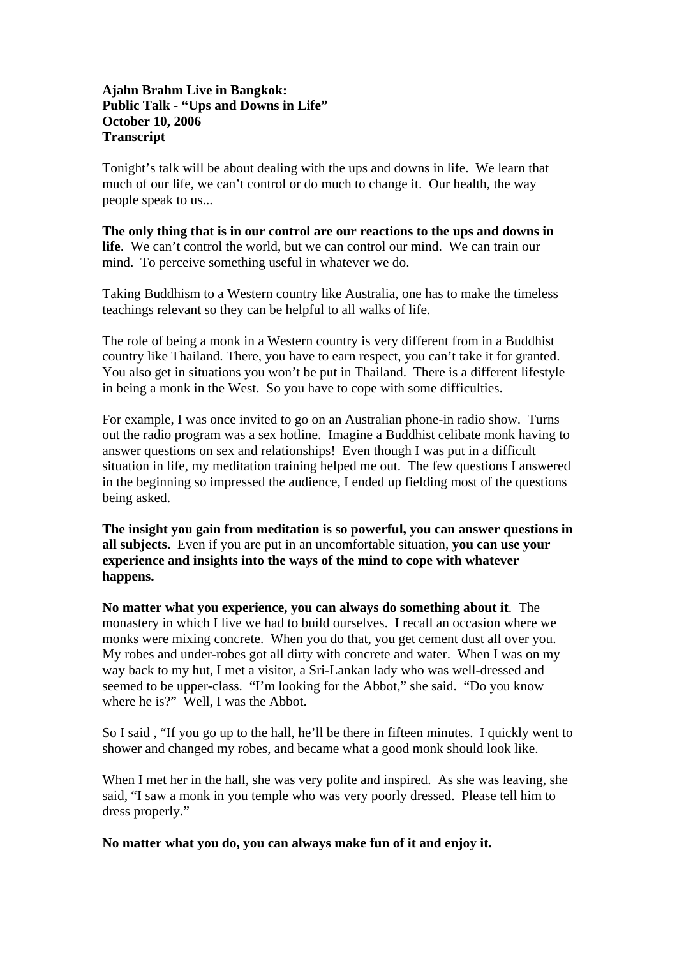# **Ajahn Brahm Live in Bangkok: Public Talk - "Ups and Downs in Life" October 10, 2006 Transcript**

Tonight's talk will be about dealing with the ups and downs in life. We learn that much of our life, we can't control or do much to change it. Our health, the way people speak to us...

**The only thing that is in our control are our reactions to the ups and downs in life**. We can't control the world, but we can control our mind. We can train our mind. To perceive something useful in whatever we do.

Taking Buddhism to a Western country like Australia, one has to make the timeless teachings relevant so they can be helpful to all walks of life.

The role of being a monk in a Western country is very different from in a Buddhist country like Thailand. There, you have to earn respect, you can't take it for granted. You also get in situations you won't be put in Thailand. There is a different lifestyle in being a monk in the West. So you have to cope with some difficulties.

For example, I was once invited to go on an Australian phone-in radio show. Turns out the radio program was a sex hotline. Imagine a Buddhist celibate monk having to answer questions on sex and relationships! Even though I was put in a difficult situation in life, my meditation training helped me out. The few questions I answered in the beginning so impressed the audience, I ended up fielding most of the questions being asked.

**The insight you gain from meditation is so powerful, you can answer questions in all subjects.** Even if you are put in an uncomfortable situation, **you can use your experience and insights into the ways of the mind to cope with whatever happens.** 

**No matter what you experience, you can always do something about it**. The monastery in which I live we had to build ourselves. I recall an occasion where we monks were mixing concrete. When you do that, you get cement dust all over you. My robes and under-robes got all dirty with concrete and water. When I was on my way back to my hut, I met a visitor, a Sri-Lankan lady who was well-dressed and seemed to be upper-class. "I'm looking for the Abbot," she said. "Do you know where he is?" Well, I was the Abbot.

So I said , "If you go up to the hall, he'll be there in fifteen minutes. I quickly went to shower and changed my robes, and became what a good monk should look like.

When I met her in the hall, she was very polite and inspired. As she was leaving, she said, "I saw a monk in you temple who was very poorly dressed. Please tell him to dress properly."

**No matter what you do, you can always make fun of it and enjoy it.**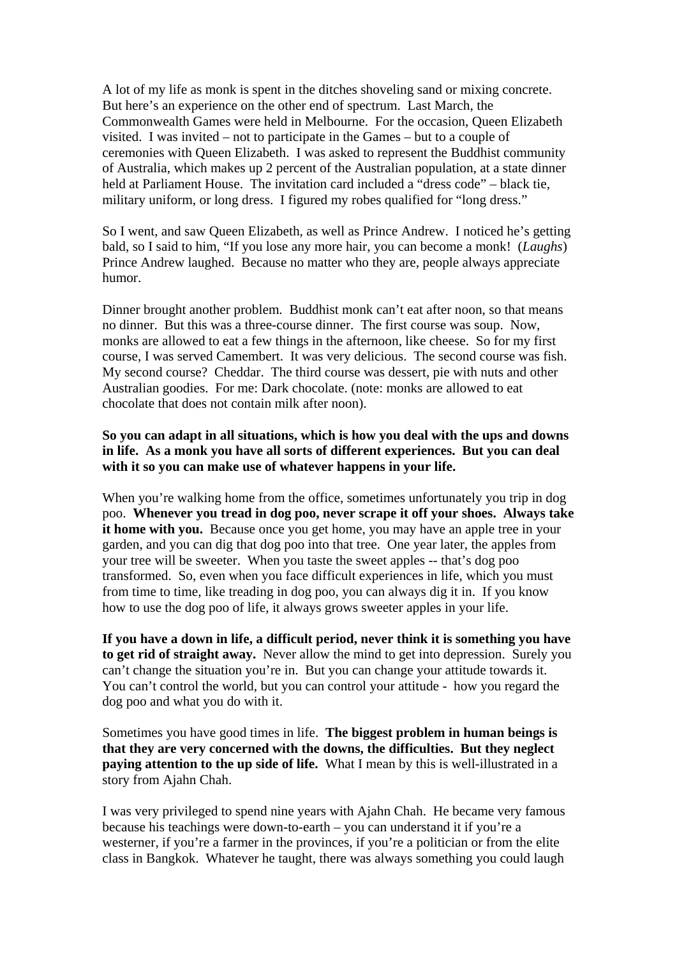A lot of my life as monk is spent in the ditches shoveling sand or mixing concrete. But here's an experience on the other end of spectrum. Last March, the Commonwealth Games were held in Melbourne. For the occasion, Queen Elizabeth visited. I was invited – not to participate in the Games – but to a couple of ceremonies with Queen Elizabeth. I was asked to represent the Buddhist community of Australia, which makes up 2 percent of the Australian population, at a state dinner held at Parliament House. The invitation card included a "dress code" – black tie, military uniform, or long dress. I figured my robes qualified for "long dress."

So I went, and saw Queen Elizabeth, as well as Prince Andrew. I noticed he's getting bald, so I said to him, "If you lose any more hair, you can become a monk! (*Laughs*) Prince Andrew laughed. Because no matter who they are, people always appreciate humor.

Dinner brought another problem. Buddhist monk can't eat after noon, so that means no dinner. But this was a three-course dinner. The first course was soup. Now, monks are allowed to eat a few things in the afternoon, like cheese. So for my first course, I was served Camembert. It was very delicious. The second course was fish. My second course? Cheddar. The third course was dessert, pie with nuts and other Australian goodies. For me: Dark chocolate. (note: monks are allowed to eat chocolate that does not contain milk after noon).

# **So you can adapt in all situations, which is how you deal with the ups and downs in life. As a monk you have all sorts of different experiences. But you can deal with it so you can make use of whatever happens in your life.**

When you're walking home from the office, sometimes unfortunately you trip in dog poo. **Whenever you tread in dog poo, never scrape it off your shoes. Always take it home with you.** Because once you get home, you may have an apple tree in your garden, and you can dig that dog poo into that tree. One year later, the apples from your tree will be sweeter. When you taste the sweet apples -- that's dog poo transformed. So, even when you face difficult experiences in life, which you must from time to time, like treading in dog poo, you can always dig it in. If you know how to use the dog poo of life, it always grows sweeter apples in your life.

**If you have a down in life, a difficult period, never think it is something you have to get rid of straight away.** Never allow the mind to get into depression. Surely you can't change the situation you're in. But you can change your attitude towards it. You can't control the world, but you can control your attitude - how you regard the dog poo and what you do with it.

Sometimes you have good times in life. **The biggest problem in human beings is that they are very concerned with the downs, the difficulties. But they neglect paying attention to the up side of life.** What I mean by this is well-illustrated in a story from Ajahn Chah.

I was very privileged to spend nine years with Ajahn Chah. He became very famous because his teachings were down-to-earth – you can understand it if you're a westerner, if you're a farmer in the provinces, if you're a politician or from the elite class in Bangkok. Whatever he taught, there was always something you could laugh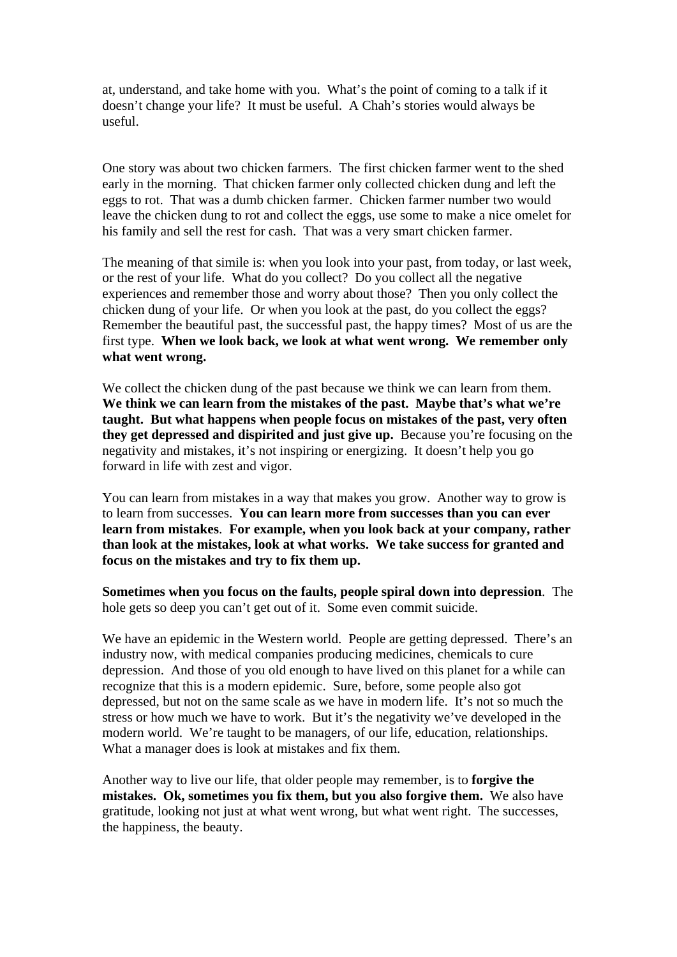at, understand, and take home with you. What's the point of coming to a talk if it doesn't change your life? It must be useful. A Chah's stories would always be useful.

One story was about two chicken farmers. The first chicken farmer went to the shed early in the morning. That chicken farmer only collected chicken dung and left the eggs to rot. That was a dumb chicken farmer. Chicken farmer number two would leave the chicken dung to rot and collect the eggs, use some to make a nice omelet for his family and sell the rest for cash. That was a very smart chicken farmer.

The meaning of that simile is: when you look into your past, from today, or last week, or the rest of your life. What do you collect? Do you collect all the negative experiences and remember those and worry about those? Then you only collect the chicken dung of your life. Or when you look at the past, do you collect the eggs? Remember the beautiful past, the successful past, the happy times? Most of us are the first type. **When we look back, we look at what went wrong. We remember only what went wrong.** 

We collect the chicken dung of the past because we think we can learn from them. **We think we can learn from the mistakes of the past. Maybe that's what we're taught. But what happens when people focus on mistakes of the past, very often they get depressed and dispirited and just give up.** Because you're focusing on the negativity and mistakes, it's not inspiring or energizing. It doesn't help you go forward in life with zest and vigor.

You can learn from mistakes in a way that makes you grow. Another way to grow is to learn from successes. **You can learn more from successes than you can ever learn from mistakes**. **For example, when you look back at your company, rather than look at the mistakes, look at what works. We take success for granted and focus on the mistakes and try to fix them up.**

**Sometimes when you focus on the faults, people spiral down into depression**. The hole gets so deep you can't get out of it. Some even commit suicide.

We have an epidemic in the Western world. People are getting depressed. There's an industry now, with medical companies producing medicines, chemicals to cure depression. And those of you old enough to have lived on this planet for a while can recognize that this is a modern epidemic. Sure, before, some people also got depressed, but not on the same scale as we have in modern life. It's not so much the stress or how much we have to work. But it's the negativity we've developed in the modern world. We're taught to be managers, of our life, education, relationships. What a manager does is look at mistakes and fix them.

Another way to live our life, that older people may remember, is to **forgive the mistakes. Ok, sometimes you fix them, but you also forgive them.** We also have gratitude, looking not just at what went wrong, but what went right. The successes, the happiness, the beauty.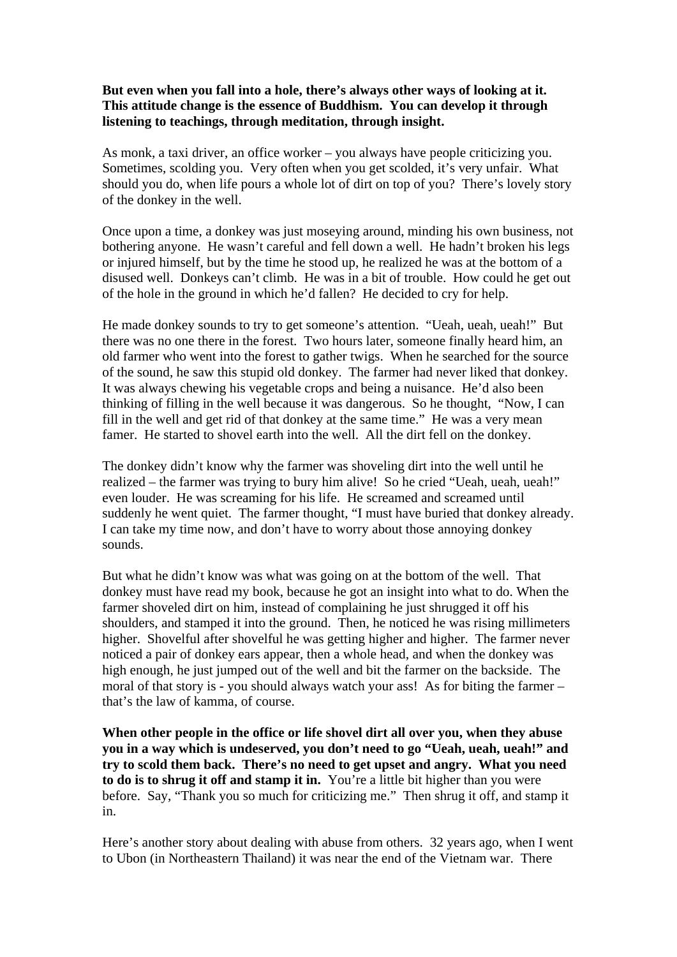# **But even when you fall into a hole, there's always other ways of looking at it. This attitude change is the essence of Buddhism. You can develop it through listening to teachings, through meditation, through insight.**

As monk, a taxi driver, an office worker – you always have people criticizing you. Sometimes, scolding you. Very often when you get scolded, it's very unfair. What should you do, when life pours a whole lot of dirt on top of you? There's lovely story of the donkey in the well.

Once upon a time, a donkey was just moseying around, minding his own business, not bothering anyone. He wasn't careful and fell down a well. He hadn't broken his legs or injured himself, but by the time he stood up, he realized he was at the bottom of a disused well. Donkeys can't climb. He was in a bit of trouble. How could he get out of the hole in the ground in which he'd fallen? He decided to cry for help.

He made donkey sounds to try to get someone's attention. "Ueah, ueah, ueah!" But there was no one there in the forest. Two hours later, someone finally heard him, an old farmer who went into the forest to gather twigs. When he searched for the source of the sound, he saw this stupid old donkey. The farmer had never liked that donkey. It was always chewing his vegetable crops and being a nuisance. He'd also been thinking of filling in the well because it was dangerous. So he thought, "Now, I can fill in the well and get rid of that donkey at the same time." He was a very mean famer. He started to shovel earth into the well. All the dirt fell on the donkey.

The donkey didn't know why the farmer was shoveling dirt into the well until he realized – the farmer was trying to bury him alive! So he cried "Ueah, ueah, ueah!" even louder. He was screaming for his life. He screamed and screamed until suddenly he went quiet. The farmer thought, "I must have buried that donkey already. I can take my time now, and don't have to worry about those annoying donkey sounds.

But what he didn't know was what was going on at the bottom of the well. That donkey must have read my book, because he got an insight into what to do. When the farmer shoveled dirt on him, instead of complaining he just shrugged it off his shoulders, and stamped it into the ground. Then, he noticed he was rising millimeters higher. Shovelful after shovelful he was getting higher and higher. The farmer never noticed a pair of donkey ears appear, then a whole head, and when the donkey was high enough, he just jumped out of the well and bit the farmer on the backside. The moral of that story is - you should always watch your ass! As for biting the farmer – that's the law of kamma, of course.

**When other people in the office or life shovel dirt all over you, when they abuse you in a way which is undeserved, you don't need to go "Ueah, ueah, ueah!" and try to scold them back. There's no need to get upset and angry. What you need to do is to shrug it off and stamp it in.** You're a little bit higher than you were before. Say, "Thank you so much for criticizing me." Then shrug it off, and stamp it in.

Here's another story about dealing with abuse from others. 32 years ago, when I went to Ubon (in Northeastern Thailand) it was near the end of the Vietnam war. There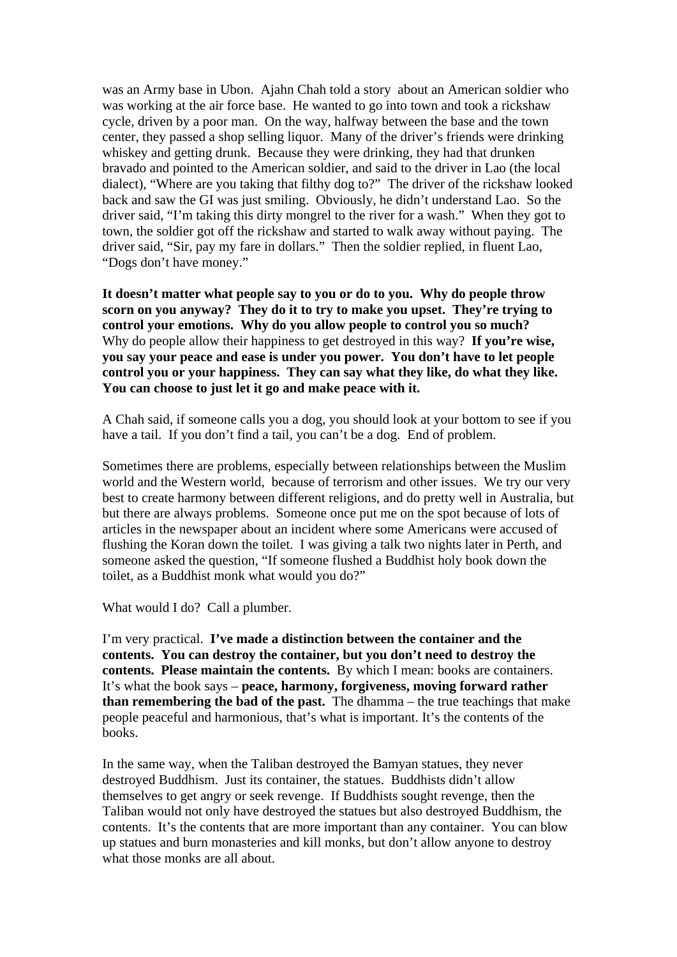was an Army base in Ubon. Ajahn Chah told a story about an American soldier who was working at the air force base. He wanted to go into town and took a rickshaw cycle, driven by a poor man. On the way, halfway between the base and the town center, they passed a shop selling liquor. Many of the driver's friends were drinking whiskey and getting drunk. Because they were drinking, they had that drunken bravado and pointed to the American soldier, and said to the driver in Lao (the local dialect), "Where are you taking that filthy dog to?" The driver of the rickshaw looked back and saw the GI was just smiling. Obviously, he didn't understand Lao. So the driver said, "I'm taking this dirty mongrel to the river for a wash." When they got to town, the soldier got off the rickshaw and started to walk away without paying. The driver said, "Sir, pay my fare in dollars." Then the soldier replied, in fluent Lao, "Dogs don't have money."

**It doesn't matter what people say to you or do to you. Why do people throw scorn on you anyway? They do it to try to make you upset. They're trying to control your emotions. Why do you allow people to control you so much?**  Why do people allow their happiness to get destroyed in this way? **If you're wise, you say your peace and ease is under you power. You don't have to let people control you or your happiness. They can say what they like, do what they like. You can choose to just let it go and make peace with it.** 

A Chah said, if someone calls you a dog, you should look at your bottom to see if you have a tail. If you don't find a tail, you can't be a dog. End of problem.

Sometimes there are problems, especially between relationships between the Muslim world and the Western world, because of terrorism and other issues. We try our very best to create harmony between different religions, and do pretty well in Australia, but but there are always problems. Someone once put me on the spot because of lots of articles in the newspaper about an incident where some Americans were accused of flushing the Koran down the toilet. I was giving a talk two nights later in Perth, and someone asked the question, "If someone flushed a Buddhist holy book down the toilet, as a Buddhist monk what would you do?"

What would I do? Call a plumber.

I'm very practical. **I've made a distinction between the container and the contents. You can destroy the container, but you don't need to destroy the contents. Please maintain the contents.** By which I mean: books are containers. It's what the book says – **peace, harmony, forgiveness, moving forward rather than remembering the bad of the past.** The dhamma – the true teachings that make people peaceful and harmonious, that's what is important. It's the contents of the books.

In the same way, when the Taliban destroyed the Bamyan statues, they never destroyed Buddhism. Just its container, the statues. Buddhists didn't allow themselves to get angry or seek revenge. If Buddhists sought revenge, then the Taliban would not only have destroyed the statues but also destroyed Buddhism, the contents. It's the contents that are more important than any container. You can blow up statues and burn monasteries and kill monks, but don't allow anyone to destroy what those monks are all about.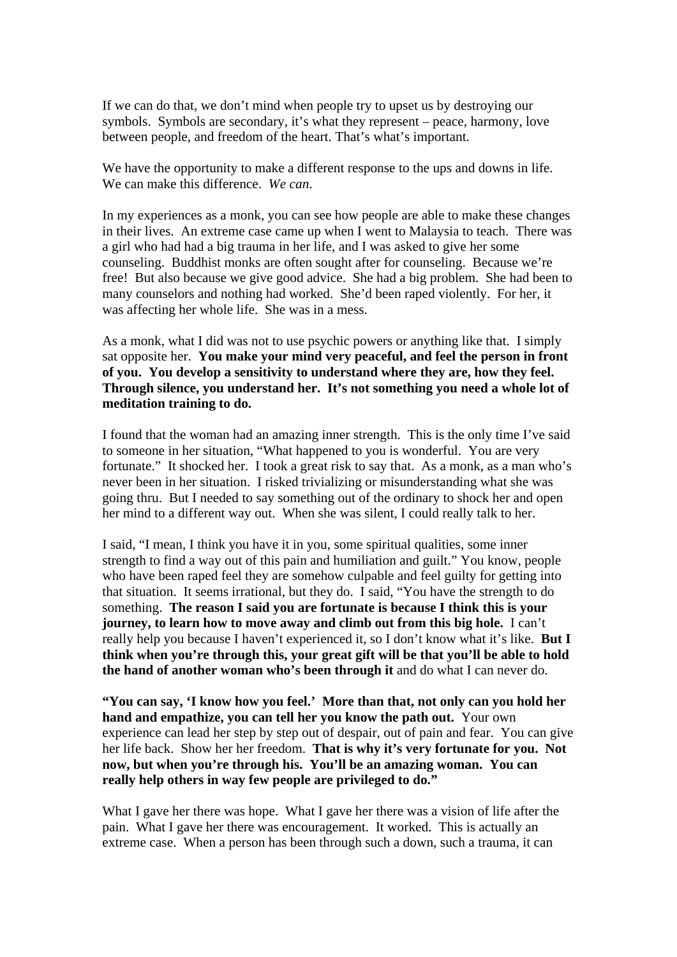If we can do that, we don't mind when people try to upset us by destroying our symbols. Symbols are secondary, it's what they represent – peace, harmony, love between people, and freedom of the heart. That's what's important.

We have the opportunity to make a different response to the ups and downs in life. We can make this difference. *We can*.

In my experiences as a monk, you can see how people are able to make these changes in their lives. An extreme case came up when I went to Malaysia to teach. There was a girl who had had a big trauma in her life, and I was asked to give her some counseling. Buddhist monks are often sought after for counseling. Because we're free! But also because we give good advice. She had a big problem. She had been to many counselors and nothing had worked. She'd been raped violently. For her, it was affecting her whole life. She was in a mess.

As a monk, what I did was not to use psychic powers or anything like that. I simply sat opposite her. **You make your mind very peaceful, and feel the person in front of you. You develop a sensitivity to understand where they are, how they feel. Through silence, you understand her. It's not something you need a whole lot of meditation training to do.** 

I found that the woman had an amazing inner strength. This is the only time I've said to someone in her situation, "What happened to you is wonderful. You are very fortunate." It shocked her. I took a great risk to say that. As a monk, as a man who's never been in her situation. I risked trivializing or misunderstanding what she was going thru. But I needed to say something out of the ordinary to shock her and open her mind to a different way out. When she was silent, I could really talk to her.

I said, "I mean, I think you have it in you, some spiritual qualities, some inner strength to find a way out of this pain and humiliation and guilt." You know, people who have been raped feel they are somehow culpable and feel guilty for getting into that situation. It seems irrational, but they do. I said, "You have the strength to do something. **The reason I said you are fortunate is because I think this is your journey, to learn how to move away and climb out from this big hole.** I can't really help you because I haven't experienced it, so I don't know what it's like. **But I think when you're through this, your great gift will be that you'll be able to hold the hand of another woman who's been through it** and do what I can never do.

**"You can say, 'I know how you feel.' More than that, not only can you hold her hand and empathize, you can tell her you know the path out.** Your own experience can lead her step by step out of despair, out of pain and fear. You can give her life back. Show her her freedom. **That is why it's very fortunate for you. Not now, but when you're through his. You'll be an amazing woman. You can really help others in way few people are privileged to do."** 

What I gave her there was hope. What I gave her there was a vision of life after the pain. What I gave her there was encouragement. It worked. This is actually an extreme case. When a person has been through such a down, such a trauma, it can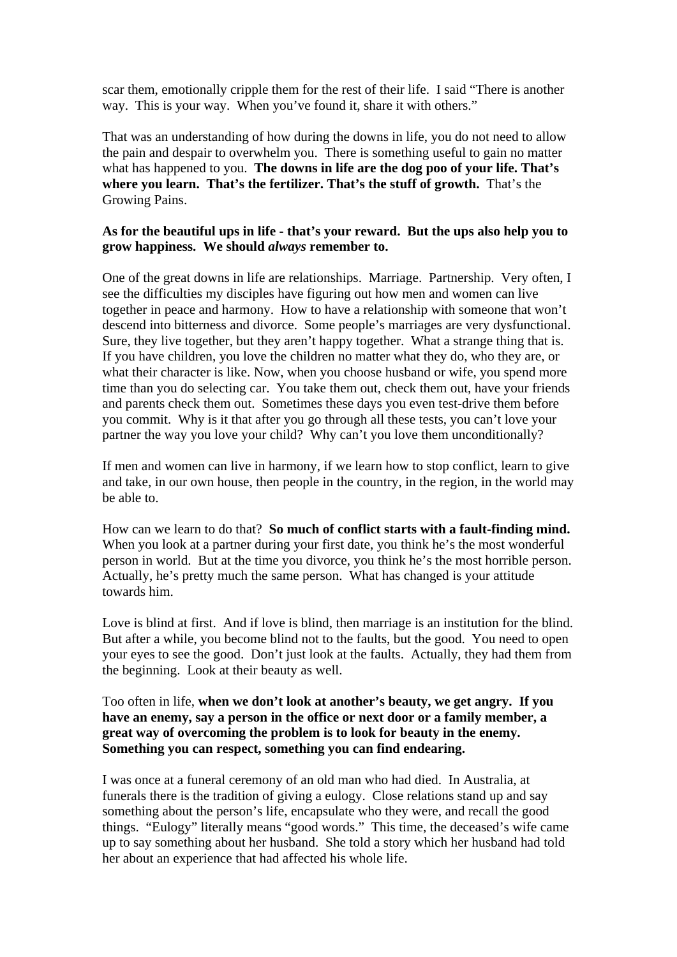scar them, emotionally cripple them for the rest of their life. I said "There is another way. This is your way. When you've found it, share it with others."

That was an understanding of how during the downs in life, you do not need to allow the pain and despair to overwhelm you. There is something useful to gain no matter what has happened to you. **The downs in life are the dog poo of your life. That's where you learn. That's the fertilizer. That's the stuff of growth.** That's the Growing Pains.

### **As for the beautiful ups in life - that's your reward. But the ups also help you to grow happiness. We should** *always* **remember to.**

One of the great downs in life are relationships. Marriage. Partnership. Very often, I see the difficulties my disciples have figuring out how men and women can live together in peace and harmony. How to have a relationship with someone that won't descend into bitterness and divorce. Some people's marriages are very dysfunctional. Sure, they live together, but they aren't happy together. What a strange thing that is. If you have children, you love the children no matter what they do, who they are, or what their character is like. Now, when you choose husband or wife, you spend more time than you do selecting car. You take them out, check them out, have your friends and parents check them out. Sometimes these days you even test-drive them before you commit. Why is it that after you go through all these tests, you can't love your partner the way you love your child? Why can't you love them unconditionally?

If men and women can live in harmony, if we learn how to stop conflict, learn to give and take, in our own house, then people in the country, in the region, in the world may be able to.

How can we learn to do that? **So much of conflict starts with a fault-finding mind.** When you look at a partner during your first date, you think he's the most wonderful person in world. But at the time you divorce, you think he's the most horrible person. Actually, he's pretty much the same person. What has changed is your attitude towards him.

Love is blind at first. And if love is blind, then marriage is an institution for the blind. But after a while, you become blind not to the faults, but the good. You need to open your eyes to see the good. Don't just look at the faults. Actually, they had them from the beginning. Look at their beauty as well.

# Too often in life, **when we don't look at another's beauty, we get angry. If you have an enemy, say a person in the office or next door or a family member, a great way of overcoming the problem is to look for beauty in the enemy. Something you can respect, something you can find endearing.**

I was once at a funeral ceremony of an old man who had died. In Australia, at funerals there is the tradition of giving a eulogy. Close relations stand up and say something about the person's life, encapsulate who they were, and recall the good things. "Eulogy" literally means "good words." This time, the deceased's wife came up to say something about her husband. She told a story which her husband had told her about an experience that had affected his whole life.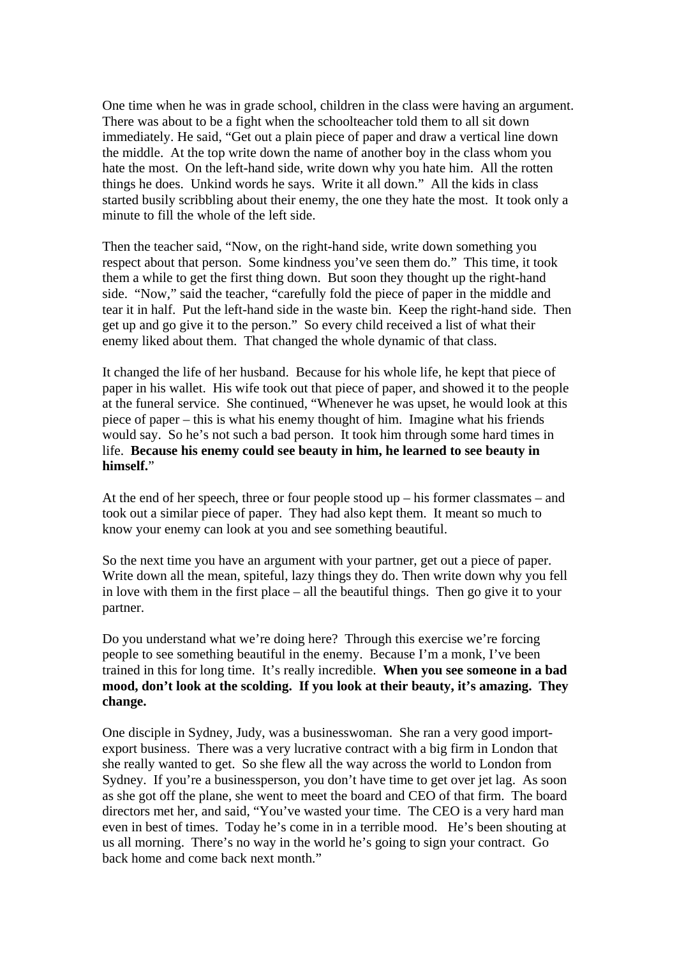One time when he was in grade school, children in the class were having an argument. There was about to be a fight when the schoolteacher told them to all sit down immediately. He said, "Get out a plain piece of paper and draw a vertical line down the middle. At the top write down the name of another boy in the class whom you hate the most. On the left-hand side, write down why you hate him. All the rotten things he does. Unkind words he says. Write it all down." All the kids in class started busily scribbling about their enemy, the one they hate the most. It took only a minute to fill the whole of the left side.

Then the teacher said, "Now, on the right-hand side, write down something you respect about that person. Some kindness you've seen them do." This time, it took them a while to get the first thing down. But soon they thought up the right-hand side. "Now," said the teacher, "carefully fold the piece of paper in the middle and tear it in half. Put the left-hand side in the waste bin. Keep the right-hand side. Then get up and go give it to the person." So every child received a list of what their enemy liked about them. That changed the whole dynamic of that class.

It changed the life of her husband. Because for his whole life, he kept that piece of paper in his wallet. His wife took out that piece of paper, and showed it to the people at the funeral service. She continued, "Whenever he was upset, he would look at this piece of paper – this is what his enemy thought of him. Imagine what his friends would say. So he's not such a bad person. It took him through some hard times in life. **Because his enemy could see beauty in him, he learned to see beauty in himself.**"

At the end of her speech, three or four people stood up – his former classmates – and took out a similar piece of paper. They had also kept them. It meant so much to know your enemy can look at you and see something beautiful.

So the next time you have an argument with your partner, get out a piece of paper. Write down all the mean, spiteful, lazy things they do. Then write down why you fell in love with them in the first place – all the beautiful things. Then go give it to your partner.

Do you understand what we're doing here? Through this exercise we're forcing people to see something beautiful in the enemy. Because I'm a monk, I've been trained in this for long time. It's really incredible. **When you see someone in a bad mood, don't look at the scolding. If you look at their beauty, it's amazing. They change.** 

One disciple in Sydney, Judy, was a businesswoman. She ran a very good importexport business. There was a very lucrative contract with a big firm in London that she really wanted to get. So she flew all the way across the world to London from Sydney. If you're a businessperson, you don't have time to get over jet lag. As soon as she got off the plane, she went to meet the board and CEO of that firm. The board directors met her, and said, "You've wasted your time. The CEO is a very hard man even in best of times. Today he's come in in a terrible mood. He's been shouting at us all morning. There's no way in the world he's going to sign your contract. Go back home and come back next month."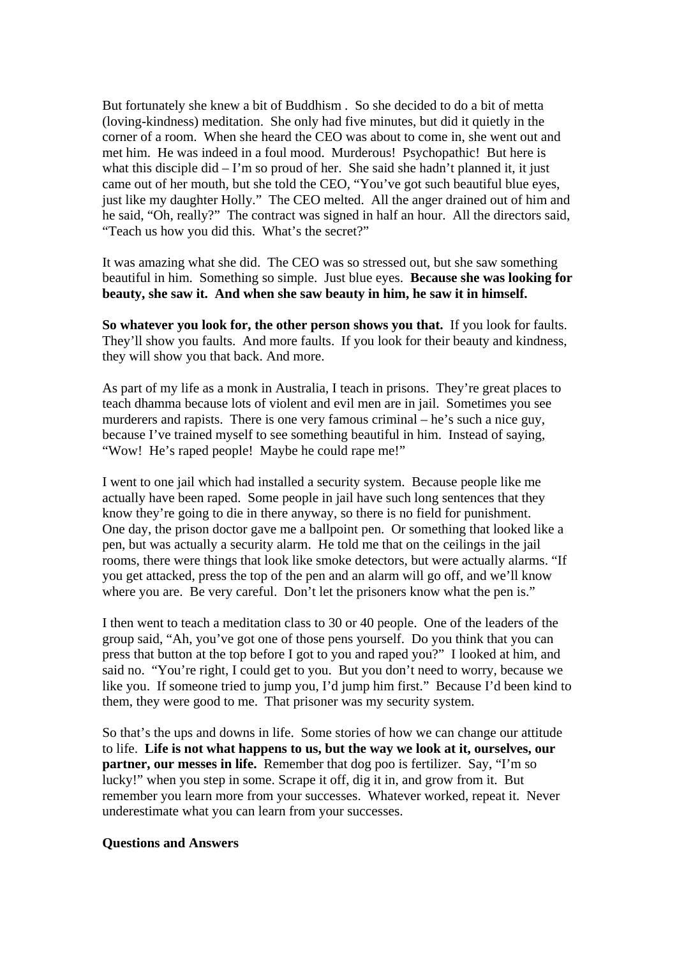But fortunately she knew a bit of Buddhism . So she decided to do a bit of metta (loving-kindness) meditation. She only had five minutes, but did it quietly in the corner of a room. When she heard the CEO was about to come in, she went out and met him. He was indeed in a foul mood. Murderous! Psychopathic! But here is what this disciple did  $-1$ 'm so proud of her. She said she hadn't planned it, it just came out of her mouth, but she told the CEO, "You've got such beautiful blue eyes, just like my daughter Holly." The CEO melted. All the anger drained out of him and he said, "Oh, really?" The contract was signed in half an hour. All the directors said, "Teach us how you did this. What's the secret?"

It was amazing what she did. The CEO was so stressed out, but she saw something beautiful in him. Something so simple. Just blue eyes. **Because she was looking for beauty, she saw it. And when she saw beauty in him, he saw it in himself.**

**So whatever you look for, the other person shows you that.** If you look for faults. They'll show you faults. And more faults. If you look for their beauty and kindness, they will show you that back. And more.

As part of my life as a monk in Australia, I teach in prisons. They're great places to teach dhamma because lots of violent and evil men are in jail. Sometimes you see murderers and rapists. There is one very famous criminal – he's such a nice guy, because I've trained myself to see something beautiful in him. Instead of saying, "Wow! He's raped people! Maybe he could rape me!"

I went to one jail which had installed a security system. Because people like me actually have been raped. Some people in jail have such long sentences that they know they're going to die in there anyway, so there is no field for punishment. One day, the prison doctor gave me a ballpoint pen. Or something that looked like a pen, but was actually a security alarm. He told me that on the ceilings in the jail rooms, there were things that look like smoke detectors, but were actually alarms. "If you get attacked, press the top of the pen and an alarm will go off, and we'll know where you are. Be very careful. Don't let the prisoners know what the pen is."

I then went to teach a meditation class to 30 or 40 people. One of the leaders of the group said, "Ah, you've got one of those pens yourself. Do you think that you can press that button at the top before I got to you and raped you?" I looked at him, and said no. "You're right, I could get to you. But you don't need to worry, because we like you. If someone tried to jump you, I'd jump him first." Because I'd been kind to them, they were good to me. That prisoner was my security system.

So that's the ups and downs in life. Some stories of how we can change our attitude to life. **Life is not what happens to us, but the way we look at it, ourselves, our partner, our messes in life.** Remember that dog poo is fertilizer. Say, "I'm so lucky!" when you step in some. Scrape it off, dig it in, and grow from it. But remember you learn more from your successes. Whatever worked, repeat it. Never underestimate what you can learn from your successes.

#### **Questions and Answers**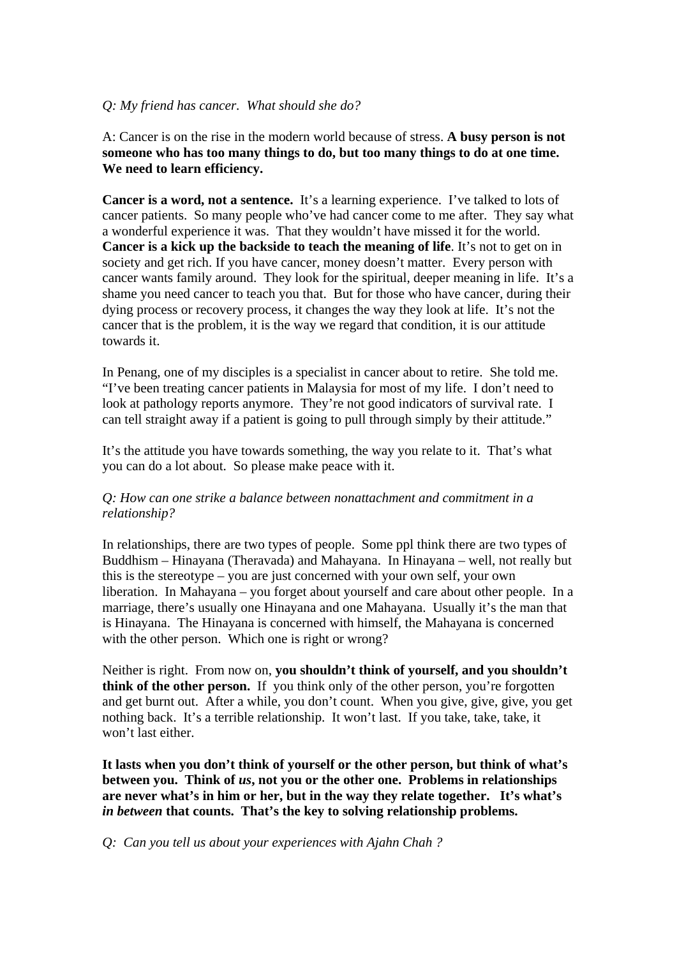### *Q: My friend has cancer. What should she do?*

A: Cancer is on the rise in the modern world because of stress. **A busy person is not someone who has too many things to do, but too many things to do at one time. We need to learn efficiency.** 

**Cancer is a word, not a sentence.** It's a learning experience. I've talked to lots of cancer patients. So many people who've had cancer come to me after. They say what a wonderful experience it was. That they wouldn't have missed it for the world. **Cancer is a kick up the backside to teach the meaning of life**. It's not to get on in society and get rich. If you have cancer, money doesn't matter. Every person with cancer wants family around. They look for the spiritual, deeper meaning in life. It's a shame you need cancer to teach you that. But for those who have cancer, during their dying process or recovery process, it changes the way they look at life. It's not the cancer that is the problem, it is the way we regard that condition, it is our attitude towards it.

In Penang, one of my disciples is a specialist in cancer about to retire. She told me. "I've been treating cancer patients in Malaysia for most of my life. I don't need to look at pathology reports anymore. They're not good indicators of survival rate. I can tell straight away if a patient is going to pull through simply by their attitude."

It's the attitude you have towards something, the way you relate to it. That's what you can do a lot about. So please make peace with it.

# *Q: How can one strike a balance between nonattachment and commitment in a relationship?*

In relationships, there are two types of people. Some ppl think there are two types of Buddhism – Hinayana (Theravada) and Mahayana. In Hinayana – well, not really but this is the stereotype – you are just concerned with your own self, your own liberation. In Mahayana – you forget about yourself and care about other people. In a marriage, there's usually one Hinayana and one Mahayana. Usually it's the man that is Hinayana. The Hinayana is concerned with himself, the Mahayana is concerned with the other person. Which one is right or wrong?

Neither is right. From now on, **you shouldn't think of yourself, and you shouldn't think of the other person.** If you think only of the other person, you're forgotten and get burnt out. After a while, you don't count. When you give, give, give, you get nothing back. It's a terrible relationship. It won't last. If you take, take, take, it won't last either.

**It lasts when you don't think of yourself or the other person, but think of what's between you. Think of** *us***, not you or the other one. Problems in relationships are never what's in him or her, but in the way they relate together. It's what's**  *in between* **that counts. That's the key to solving relationship problems.** 

*Q: Can you tell us about your experiences with Ajahn Chah ?*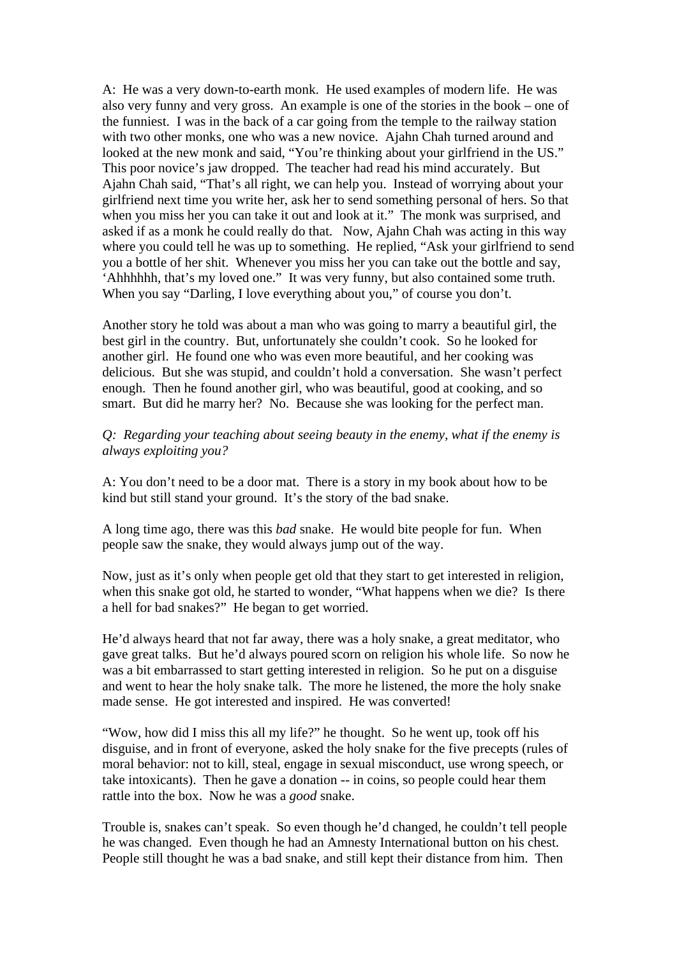A: He was a very down-to-earth monk. He used examples of modern life. He was also very funny and very gross. An example is one of the stories in the book – one of the funniest. I was in the back of a car going from the temple to the railway station with two other monks, one who was a new novice. Ajahn Chah turned around and looked at the new monk and said, "You're thinking about your girlfriend in the US." This poor novice's jaw dropped. The teacher had read his mind accurately. But Ajahn Chah said, "That's all right, we can help you. Instead of worrying about your girlfriend next time you write her, ask her to send something personal of hers. So that when you miss her you can take it out and look at it." The monk was surprised, and asked if as a monk he could really do that. Now, Ajahn Chah was acting in this way where you could tell he was up to something. He replied, "Ask your girlfriend to send you a bottle of her shit. Whenever you miss her you can take out the bottle and say, 'Ahhhhhh, that's my loved one." It was very funny, but also contained some truth. When you say "Darling, I love everything about you," of course you don't.

Another story he told was about a man who was going to marry a beautiful girl, the best girl in the country. But, unfortunately she couldn't cook. So he looked for another girl. He found one who was even more beautiful, and her cooking was delicious. But she was stupid, and couldn't hold a conversation. She wasn't perfect enough. Then he found another girl, who was beautiful, good at cooking, and so smart. But did he marry her? No. Because she was looking for the perfect man.

*Q: Regarding your teaching about seeing beauty in the enemy, what if the enemy is always exploiting you?* 

A: You don't need to be a door mat. There is a story in my book about how to be kind but still stand your ground. It's the story of the bad snake.

A long time ago, there was this *bad* snake. He would bite people for fun. When people saw the snake, they would always jump out of the way.

Now, just as it's only when people get old that they start to get interested in religion, when this snake got old, he started to wonder, "What happens when we die? Is there a hell for bad snakes?" He began to get worried.

He'd always heard that not far away, there was a holy snake, a great meditator, who gave great talks. But he'd always poured scorn on religion his whole life. So now he was a bit embarrassed to start getting interested in religion. So he put on a disguise and went to hear the holy snake talk. The more he listened, the more the holy snake made sense. He got interested and inspired. He was converted!

"Wow, how did I miss this all my life?" he thought. So he went up, took off his disguise, and in front of everyone, asked the holy snake for the five precepts (rules of moral behavior: not to kill, steal, engage in sexual misconduct, use wrong speech, or take intoxicants). Then he gave a donation -- in coins, so people could hear them rattle into the box. Now he was a *good* snake.

Trouble is, snakes can't speak. So even though he'd changed, he couldn't tell people he was changed. Even though he had an Amnesty International button on his chest. People still thought he was a bad snake, and still kept their distance from him. Then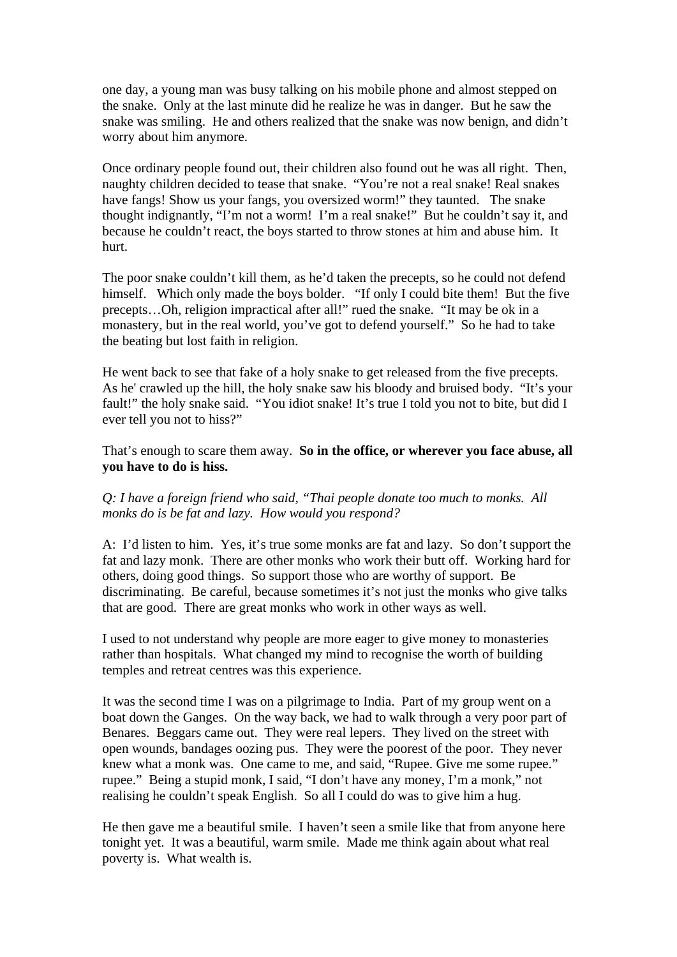one day, a young man was busy talking on his mobile phone and almost stepped on the snake. Only at the last minute did he realize he was in danger. But he saw the snake was smiling. He and others realized that the snake was now benign, and didn't worry about him anymore.

Once ordinary people found out, their children also found out he was all right. Then, naughty children decided to tease that snake. "You're not a real snake! Real snakes have fangs! Show us your fangs, you oversized worm!" they taunted. The snake thought indignantly, "I'm not a worm! I'm a real snake!" But he couldn't say it, and because he couldn't react, the boys started to throw stones at him and abuse him. It hurt.

The poor snake couldn't kill them, as he'd taken the precepts, so he could not defend himself. Which only made the boys bolder. "If only I could bite them! But the five precepts…Oh, religion impractical after all!" rued the snake. "It may be ok in a monastery, but in the real world, you've got to defend yourself." So he had to take the beating but lost faith in religion.

He went back to see that fake of a holy snake to get released from the five precepts. As he' crawled up the hill, the holy snake saw his bloody and bruised body. "It's your fault!" the holy snake said. "You idiot snake! It's true I told you not to bite, but did I ever tell you not to hiss?"

That's enough to scare them away. **So in the office, or wherever you face abuse, all you have to do is hiss.** 

# *Q: I have a foreign friend who said, "Thai people donate too much to monks. All monks do is be fat and lazy. How would you respond?*

A: I'd listen to him. Yes, it's true some monks are fat and lazy. So don't support the fat and lazy monk. There are other monks who work their butt off. Working hard for others, doing good things. So support those who are worthy of support. Be discriminating. Be careful, because sometimes it's not just the monks who give talks that are good. There are great monks who work in other ways as well.

I used to not understand why people are more eager to give money to monasteries rather than hospitals. What changed my mind to recognise the worth of building temples and retreat centres was this experience.

It was the second time I was on a pilgrimage to India. Part of my group went on a boat down the Ganges. On the way back, we had to walk through a very poor part of Benares. Beggars came out. They were real lepers. They lived on the street with open wounds, bandages oozing pus. They were the poorest of the poor. They never knew what a monk was. One came to me, and said, "Rupee. Give me some rupee." rupee." Being a stupid monk, I said, "I don't have any money, I'm a monk," not realising he couldn't speak English. So all I could do was to give him a hug.

He then gave me a beautiful smile. I haven't seen a smile like that from anyone here tonight yet. It was a beautiful, warm smile. Made me think again about what real poverty is. What wealth is.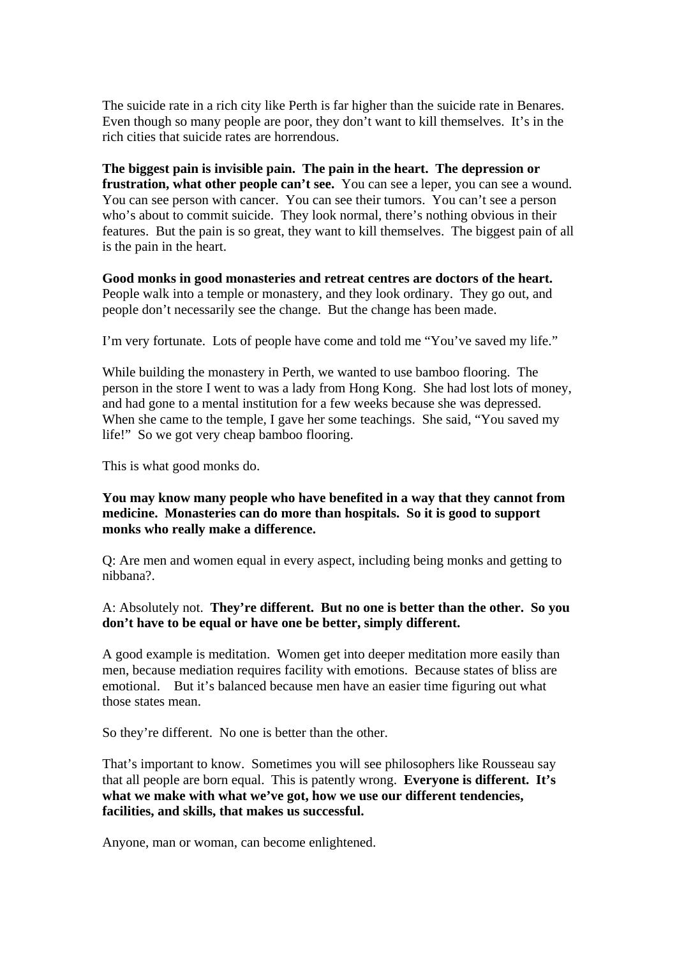The suicide rate in a rich city like Perth is far higher than the suicide rate in Benares. Even though so many people are poor, they don't want to kill themselves. It's in the rich cities that suicide rates are horrendous.

**The biggest pain is invisible pain. The pain in the heart. The depression or frustration, what other people can't see.** You can see a leper, you can see a wound. You can see person with cancer. You can see their tumors. You can't see a person who's about to commit suicide. They look normal, there's nothing obvious in their features. But the pain is so great, they want to kill themselves. The biggest pain of all is the pain in the heart.

**Good monks in good monasteries and retreat centres are doctors of the heart.** People walk into a temple or monastery, and they look ordinary. They go out, and people don't necessarily see the change. But the change has been made.

I'm very fortunate. Lots of people have come and told me "You've saved my life."

While building the monastery in Perth, we wanted to use bamboo flooring. The person in the store I went to was a lady from Hong Kong. She had lost lots of money, and had gone to a mental institution for a few weeks because she was depressed. When she came to the temple, I gave her some teachings. She said, "You saved my life!" So we got very cheap bamboo flooring.

This is what good monks do.

**You may know many people who have benefited in a way that they cannot from medicine. Monasteries can do more than hospitals. So it is good to support monks who really make a difference.** 

Q: Are men and women equal in every aspect, including being monks and getting to nibbana?.

A: Absolutely not. **They're different. But no one is better than the other. So you don't have to be equal or have one be better, simply different.** 

A good example is meditation. Women get into deeper meditation more easily than men, because mediation requires facility with emotions. Because states of bliss are emotional. But it's balanced because men have an easier time figuring out what those states mean.

So they're different. No one is better than the other.

That's important to know. Sometimes you will see philosophers like Rousseau say that all people are born equal. This is patently wrong. **Everyone is different. It's what we make with what we've got, how we use our different tendencies, facilities, and skills, that makes us successful.** 

Anyone, man or woman, can become enlightened.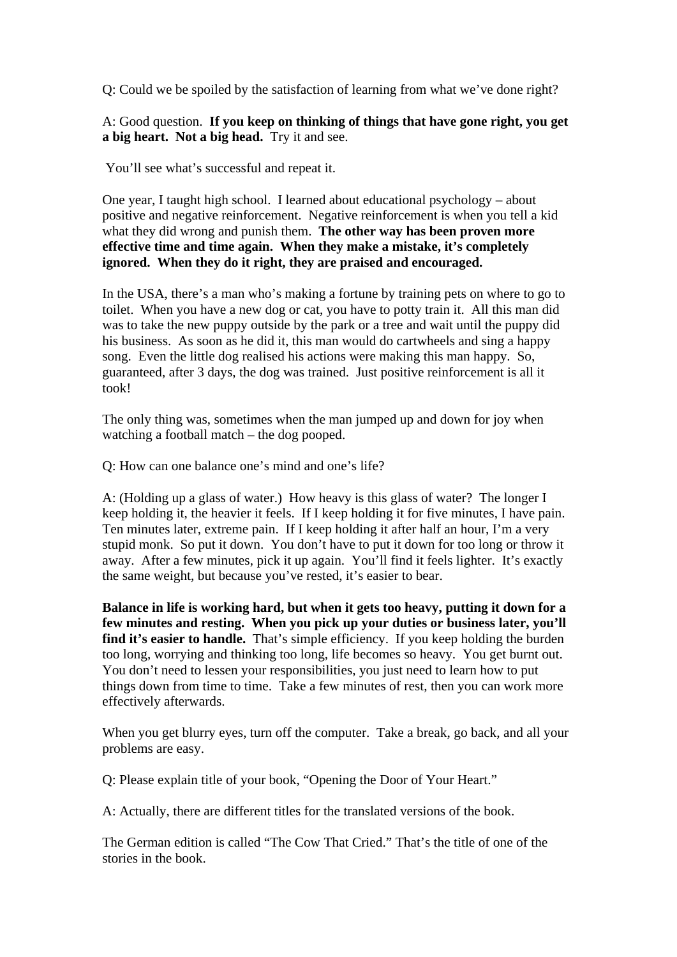Q: Could we be spoiled by the satisfaction of learning from what we've done right?

# A: Good question. **If you keep on thinking of things that have gone right, you get a big heart. Not a big head.** Try it and see.

You'll see what's successful and repeat it.

One year, I taught high school. I learned about educational psychology – about positive and negative reinforcement. Negative reinforcement is when you tell a kid what they did wrong and punish them. **The other way has been proven more effective time and time again. When they make a mistake, it's completely ignored. When they do it right, they are praised and encouraged.** 

In the USA, there's a man who's making a fortune by training pets on where to go to toilet. When you have a new dog or cat, you have to potty train it. All this man did was to take the new puppy outside by the park or a tree and wait until the puppy did his business. As soon as he did it, this man would do cartwheels and sing a happy song. Even the little dog realised his actions were making this man happy. So, guaranteed, after 3 days, the dog was trained. Just positive reinforcement is all it took!

The only thing was, sometimes when the man jumped up and down for joy when watching a football match – the dog pooped.

Q: How can one balance one's mind and one's life?

A: (Holding up a glass of water.) How heavy is this glass of water? The longer I keep holding it, the heavier it feels. If I keep holding it for five minutes, I have pain. Ten minutes later, extreme pain. If I keep holding it after half an hour, I'm a very stupid monk. So put it down. You don't have to put it down for too long or throw it away. After a few minutes, pick it up again. You'll find it feels lighter. It's exactly the same weight, but because you've rested, it's easier to bear.

**Balance in life is working hard, but when it gets too heavy, putting it down for a few minutes and resting. When you pick up your duties or business later, you'll**  find it's easier to handle. That's simple efficiency. If you keep holding the burden too long, worrying and thinking too long, life becomes so heavy. You get burnt out. You don't need to lessen your responsibilities, you just need to learn how to put things down from time to time. Take a few minutes of rest, then you can work more effectively afterwards.

When you get blurry eyes, turn off the computer. Take a break, go back, and all your problems are easy.

Q: Please explain title of your book, "Opening the Door of Your Heart."

A: Actually, there are different titles for the translated versions of the book.

The German edition is called "The Cow That Cried." That's the title of one of the stories in the book.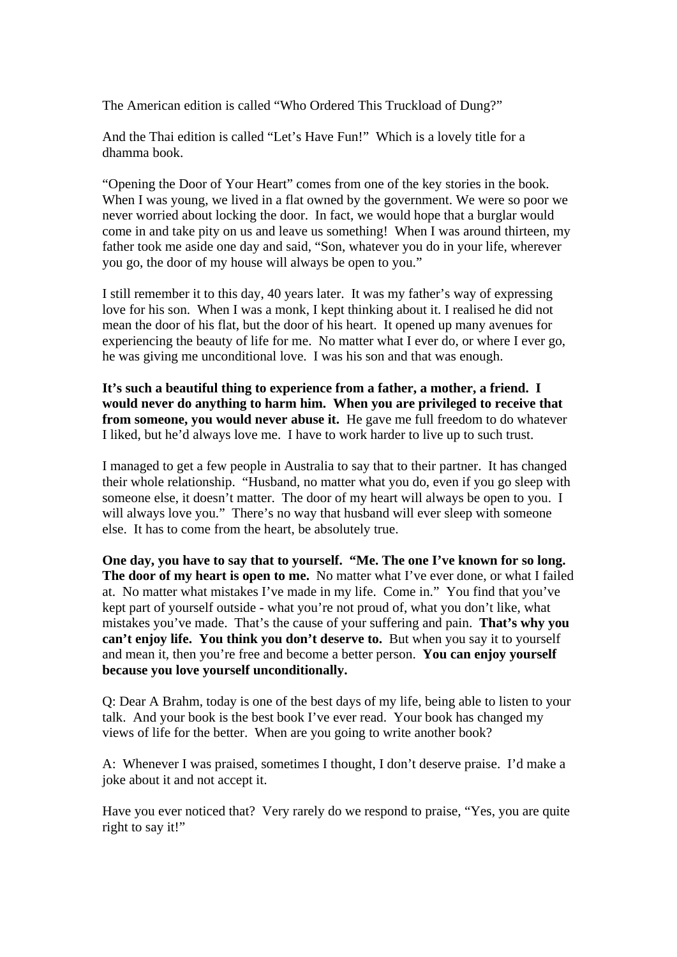The American edition is called "Who Ordered This Truckload of Dung?"

And the Thai edition is called "Let's Have Fun!" Which is a lovely title for a dhamma book.

"Opening the Door of Your Heart" comes from one of the key stories in the book. When I was young, we lived in a flat owned by the government. We were so poor we never worried about locking the door. In fact, we would hope that a burglar would come in and take pity on us and leave us something! When I was around thirteen, my father took me aside one day and said, "Son, whatever you do in your life, wherever you go, the door of my house will always be open to you."

I still remember it to this day, 40 years later. It was my father's way of expressing love for his son. When I was a monk, I kept thinking about it. I realised he did not mean the door of his flat, but the door of his heart. It opened up many avenues for experiencing the beauty of life for me. No matter what I ever do, or where I ever go, he was giving me unconditional love. I was his son and that was enough.

**It's such a beautiful thing to experience from a father, a mother, a friend. I would never do anything to harm him. When you are privileged to receive that from someone, you would never abuse it.** He gave me full freedom to do whatever I liked, but he'd always love me. I have to work harder to live up to such trust.

I managed to get a few people in Australia to say that to their partner. It has changed their whole relationship. "Husband, no matter what you do, even if you go sleep with someone else, it doesn't matter. The door of my heart will always be open to you. I will always love you." There's no way that husband will ever sleep with someone else. It has to come from the heart, be absolutely true.

**One day, you have to say that to yourself. "Me. The one I've known for so long. The door of my heart is open to me.** No matter what I've ever done, or what I failed at. No matter what mistakes I've made in my life. Come in." You find that you've kept part of yourself outside - what you're not proud of, what you don't like, what mistakes you've made. That's the cause of your suffering and pain. **That's why you can't enjoy life. You think you don't deserve to.** But when you say it to yourself and mean it, then you're free and become a better person. **You can enjoy yourself because you love yourself unconditionally.** 

Q: Dear A Brahm, today is one of the best days of my life, being able to listen to your talk. And your book is the best book I've ever read. Your book has changed my views of life for the better. When are you going to write another book?

A: Whenever I was praised, sometimes I thought, I don't deserve praise. I'd make a joke about it and not accept it.

Have you ever noticed that? Very rarely do we respond to praise, "Yes, you are quite right to say it!"